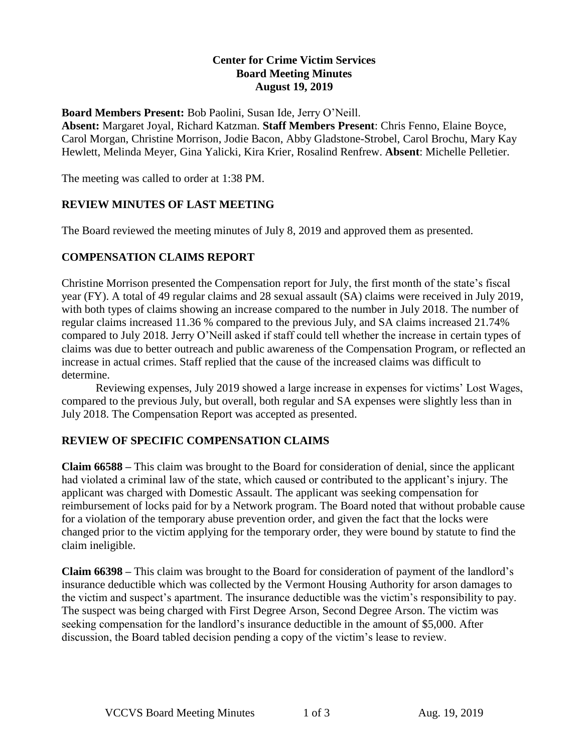### **Center for Crime Victim Services Board Meeting Minutes August 19, 2019**

#### **Board Members Present:** Bob Paolini, Susan Ide, Jerry O'Neill.

**Absent:** Margaret Joyal, Richard Katzman. **Staff Members Present**: Chris Fenno, Elaine Boyce, Carol Morgan, Christine Morrison, Jodie Bacon, Abby Gladstone-Strobel, Carol Brochu, Mary Kay Hewlett, Melinda Meyer, Gina Yalicki, Kira Krier, Rosalind Renfrew. **Absent**: Michelle Pelletier.

The meeting was called to order at 1:38 PM.

### **REVIEW MINUTES OF LAST MEETING**

The Board reviewed the meeting minutes of July 8, 2019 and approved them as presented.

## **COMPENSATION CLAIMS REPORT**

Christine Morrison presented the Compensation report for July, the first month of the state's fiscal year (FY). A total of 49 regular claims and 28 sexual assault (SA) claims were received in July 2019, with both types of claims showing an increase compared to the number in July 2018. The number of regular claims increased 11.36 % compared to the previous July, and SA claims increased 21.74% compared to July 2018. Jerry O'Neill asked if staff could tell whether the increase in certain types of claims was due to better outreach and public awareness of the Compensation Program, or reflected an increase in actual crimes. Staff replied that the cause of the increased claims was difficult to determine.

Reviewing expenses, July 2019 showed a large increase in expenses for victims' Lost Wages, compared to the previous July, but overall, both regular and SA expenses were slightly less than in July 2018. The Compensation Report was accepted as presented.

### **REVIEW OF SPECIFIC COMPENSATION CLAIMS**

**Claim 66588 –** This claim was brought to the Board for consideration of denial, since the applicant had violated a criminal law of the state, which caused or contributed to the applicant's injury. The applicant was charged with Domestic Assault. The applicant was seeking compensation for reimbursement of locks paid for by a Network program. The Board noted that without probable cause for a violation of the temporary abuse prevention order, and given the fact that the locks were changed prior to the victim applying for the temporary order, they were bound by statute to find the claim ineligible.

**Claim 66398 –** This claim was brought to the Board for consideration of payment of the landlord's insurance deductible which was collected by the Vermont Housing Authority for arson damages to the victim and suspect's apartment. The insurance deductible was the victim's responsibility to pay. The suspect was being charged with First Degree Arson, Second Degree Arson. The victim was seeking compensation for the landlord's insurance deductible in the amount of \$5,000. After discussion, the Board tabled decision pending a copy of the victim's lease to review.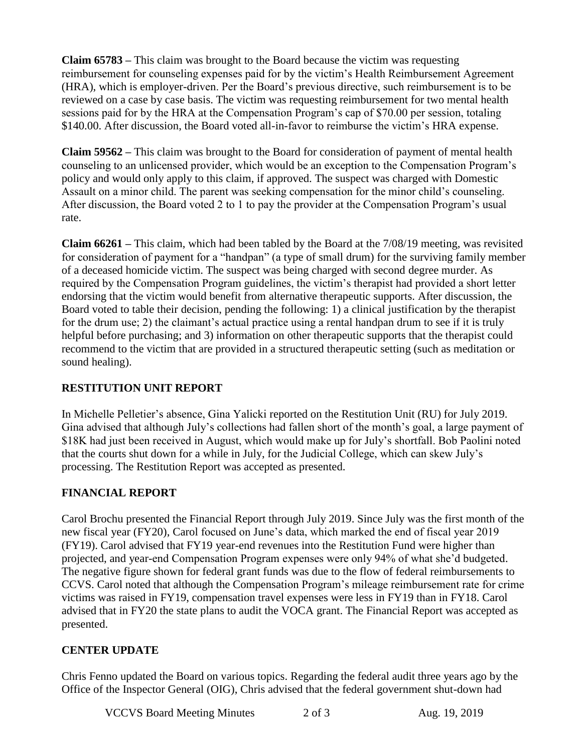**Claim 65783 –** This claim was brought to the Board because the victim was requesting reimbursement for counseling expenses paid for by the victim's Health Reimbursement Agreement (HRA), which is employer-driven. Per the Board's previous directive, such reimbursement is to be reviewed on a case by case basis. The victim was requesting reimbursement for two mental health sessions paid for by the HRA at the Compensation Program's cap of \$70.00 per session, totaling \$140.00. After discussion, the Board voted all-in-favor to reimburse the victim's HRA expense.

**Claim 59562 –** This claim was brought to the Board for consideration of payment of mental health counseling to an unlicensed provider, which would be an exception to the Compensation Program's policy and would only apply to this claim, if approved. The suspect was charged with Domestic Assault on a minor child. The parent was seeking compensation for the minor child's counseling. After discussion, the Board voted 2 to 1 to pay the provider at the Compensation Program's usual rate.

**Claim 66261 –** This claim, which had been tabled by the Board at the 7/08/19 meeting, was revisited for consideration of payment for a "handpan" (a type of small drum) for the surviving family member of a deceased homicide victim. The suspect was being charged with second degree murder. As required by the Compensation Program guidelines, the victim's therapist had provided a short letter endorsing that the victim would benefit from alternative therapeutic supports. After discussion, the Board voted to table their decision, pending the following: 1) a clinical justification by the therapist for the drum use; 2) the claimant's actual practice using a rental handpan drum to see if it is truly helpful before purchasing; and 3) information on other therapeutic supports that the therapist could recommend to the victim that are provided in a structured therapeutic setting (such as meditation or sound healing).

## **RESTITUTION UNIT REPORT**

In Michelle Pelletier's absence, Gina Yalicki reported on the Restitution Unit (RU) for July 2019. Gina advised that although July's collections had fallen short of the month's goal, a large payment of \$18K had just been received in August, which would make up for July's shortfall. Bob Paolini noted that the courts shut down for a while in July, for the Judicial College, which can skew July's processing. The Restitution Report was accepted as presented.

## **FINANCIAL REPORT**

Carol Brochu presented the Financial Report through July 2019. Since July was the first month of the new fiscal year (FY20), Carol focused on June's data, which marked the end of fiscal year 2019 (FY19). Carol advised that FY19 year-end revenues into the Restitution Fund were higher than projected, and year-end Compensation Program expenses were only 94% of what she'd budgeted. The negative figure shown for federal grant funds was due to the flow of federal reimbursements to CCVS. Carol noted that although the Compensation Program's mileage reimbursement rate for crime victims was raised in FY19, compensation travel expenses were less in FY19 than in FY18. Carol advised that in FY20 the state plans to audit the VOCA grant. The Financial Report was accepted as presented.

## **CENTER UPDATE**

Chris Fenno updated the Board on various topics. Regarding the federal audit three years ago by the Office of the Inspector General (OIG), Chris advised that the federal government shut-down had